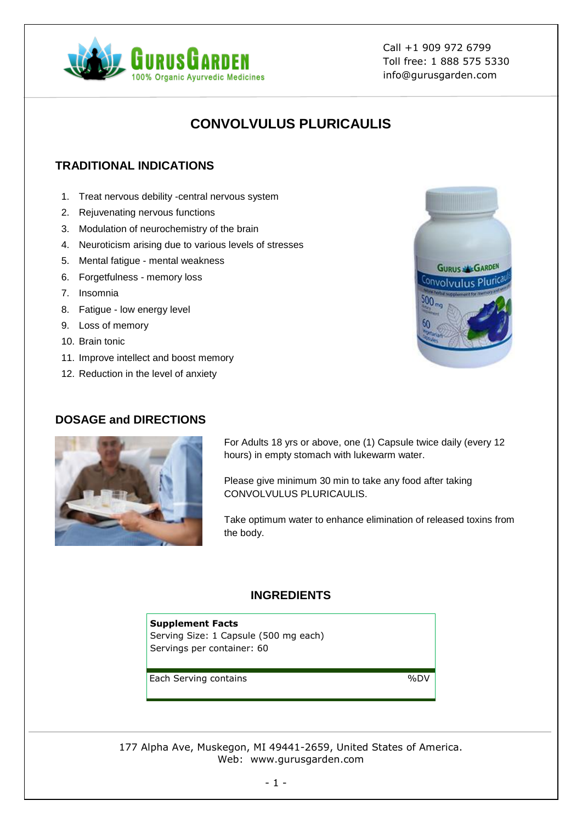

Call +1 909 972 6799 Toll free: 1 888 575 5330 info@gurusgarden.com

# **CONVOLVULUS PLURICAULIS**

# **TRADITIONAL INDICATIONS**

- 1. Treat nervous debility -central nervous system
- 2. Rejuvenating nervous functions
- 3. Modulation of neurochemistry of the brain
- 4. Neuroticism arising due to various levels of stresses
- 5. Mental fatigue mental weakness
- 6. Forgetfulness memory loss
- 7. Insomnia
- 8. Fatigue low energy level
- 9. Loss of memory
- 10. Brain tonic
- 11. Improve intellect and boost memory
- 12. Reduction in the level of anxiety

### **DOSAGE and DIRECTIONS**



For Adults 18 yrs or above, one (1) Capsule twice daily (every 12 hours) in empty stomach with lukewarm water.

Please give minimum 30 min to take any food after taking CONVOLVULUS PLURICAULIS.

Take optimum water to enhance elimination of released toxins from the body.

## **INGREDIENTS**

#### **Supplement Facts** Serving Size: 1 Capsule (500 mg each) Servings per container: 60

Each Serving contains 6000 %DV

177 Alpha Ave, Muskegon, MI 49441-2659, United States of America. Web: www.gurusgarden.com